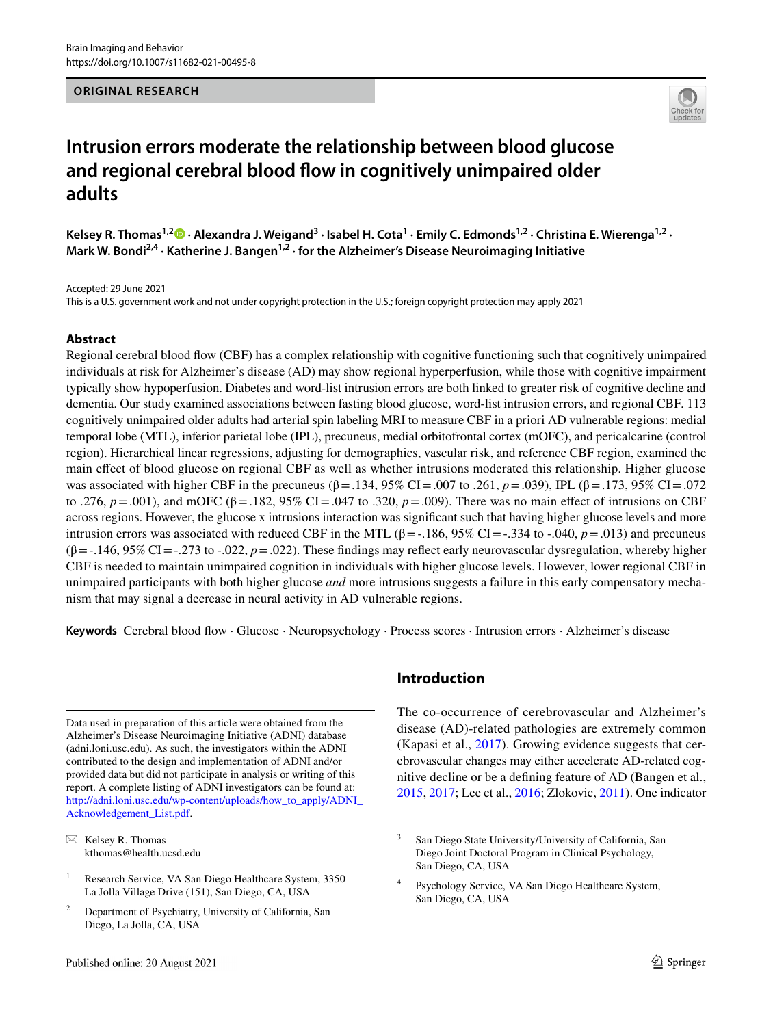#### **ORIGINAL RESEARCH**



# **Intrusion errors moderate the relationship between blood glucose and regional cerebral blood fow in cognitively unimpaired older adults**

Kelsey R. Thomas<sup>1,2</sup> • Alexandra J. Weigand<sup>3</sup> [·](http://orcid.org/0000-0003-4277-8876) Isabel H. Cota<sup>1</sup> · Emily C. Edmonds<sup>1,2</sup> · Christina E. Wierenga<sup>1,2</sup> · Mark W. Bondi<sup>2,4</sup> · Katherine J. Bangen<sup>1,2</sup> · for the Alzheimer's Disease Neuroimaging Initiative

Accepted: 29 June 2021

This is a U.S. government work and not under copyright protection in the U.S.; foreign copyright protection may apply 2021

# **Abstract**

Regional cerebral blood fow (CBF) has a complex relationship with cognitive functioning such that cognitively unimpaired individuals at risk for Alzheimer's disease (AD) may show regional hyperperfusion, while those with cognitive impairment typically show hypoperfusion. Diabetes and word-list intrusion errors are both linked to greater risk of cognitive decline and dementia. Our study examined associations between fasting blood glucose, word-list intrusion errors, and regional CBF. 113 cognitively unimpaired older adults had arterial spin labeling MRI to measure CBF in a priori AD vulnerable regions: medial temporal lobe (MTL), inferior parietal lobe (IPL), precuneus, medial orbitofrontal cortex (mOFC), and pericalcarine (control region). Hierarchical linear regressions, adjusting for demographics, vascular risk, and reference CBF region, examined the main efect of blood glucose on regional CBF as well as whether intrusions moderated this relationship. Higher glucose was associated with higher CBF in the precuneus (β=.134, 95% CI=.007 to .261, *p*=.039), IPL (β=.173, 95% CI=.072 to .276,  $p = .001$ ), and mOFC (β = .182, 95% CI = .047 to .320,  $p = .009$ ). There was no main effect of intrusions on CBF across regions. However, the glucose x intrusions interaction was signifcant such that having higher glucose levels and more intrusion errors was associated with reduced CBF in the MTL (β=-.186, 95% CI=-.334 to -.040, *p*=.013) and precuneus (β=-.146, 95% CI=-.273 to -.022, *p*=.022). These fndings may refect early neurovascular dysregulation, whereby higher CBF is needed to maintain unimpaired cognition in individuals with higher glucose levels. However, lower regional CBF in unimpaired participants with both higher glucose *and* more intrusions suggests a failure in this early compensatory mechanism that may signal a decrease in neural activity in AD vulnerable regions.

**Keywords** Cerebral blood fow · Glucose · Neuropsychology · Process scores · Intrusion errors · Alzheimer's disease

Data used in preparation of this article were obtained from the Alzheimer's Disease Neuroimaging Initiative (ADNI) database (adni.loni.usc.edu). As such, the investigators within the ADNI contributed to the design and implementation of ADNI and/or provided data but did not participate in analysis or writing of this report. A complete listing of ADNI investigators can be found at: [http://adni.loni.usc.edu/wp-content/uploads/how\\_to\\_apply/ADNI\\_](http://adni.loni.usc.edu/wp-content/uploads/how_to_apply/ADNI_Acknowledgement_List.pdf) [Acknowledgement\\_List.pdf](http://adni.loni.usc.edu/wp-content/uploads/how_to_apply/ADNI_Acknowledgement_List.pdf).

 $\boxtimes$  Kelsey R. Thomas kthomas@health.ucsd.edu

<sup>2</sup> Department of Psychiatry, University of California, San Diego, La Jolla, CA, USA

# **Introduction**

The co-occurrence of cerebrovascular and Alzheimer's disease (AD)-related pathologies are extremely common (Kapasi et al., [2017\)](#page-7-0). Growing evidence suggests that cerebrovascular changes may either accelerate AD-related cognitive decline or be a defning feature of AD (Bangen et al., [2015](#page-7-1), [2017;](#page-7-2) Lee et al., [2016;](#page-7-3) Zlokovic, [2011](#page-8-0)). One indicator

<sup>&</sup>lt;sup>1</sup> Research Service, VA San Diego Healthcare System, 3350 La Jolla Village Drive (151), San Diego, CA, USA

<sup>&</sup>lt;sup>3</sup> San Diego State University/University of California, San Diego Joint Doctoral Program in Clinical Psychology, San Diego, CA, USA

Psychology Service, VA San Diego Healthcare System, San Diego, CA, USA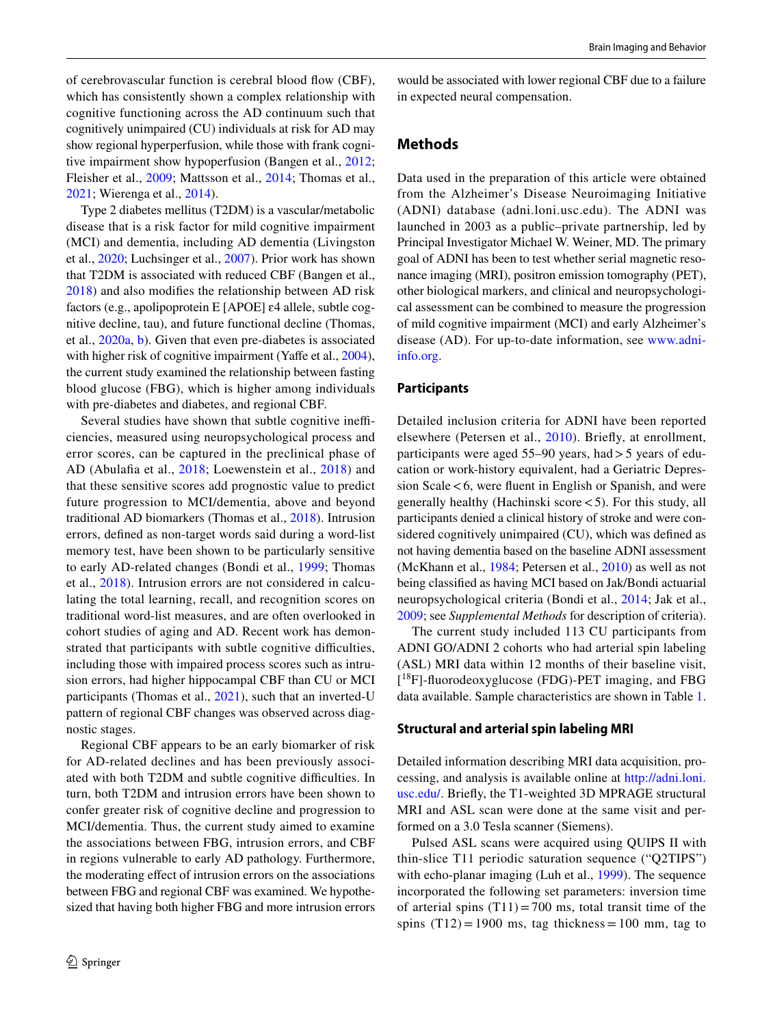of cerebrovascular function is cerebral blood fow (CBF), which has consistently shown a complex relationship with cognitive functioning across the AD continuum such that cognitively unimpaired (CU) individuals at risk for AD may show regional hyperperfusion, while those with frank cognitive impairment show hypoperfusion (Bangen et al., [2012](#page-7-4); Fleisher et al., [2009;](#page-7-5) Mattsson et al., [2014](#page-7-6); Thomas et al., [2021](#page-8-1); Wierenga et al., [2014\)](#page-8-2).

Type 2 diabetes mellitus (T2DM) is a vascular/metabolic disease that is a risk factor for mild cognitive impairment (MCI) and dementia, including AD dementia (Livingston et al., [2020;](#page-7-7) Luchsinger et al., [2007](#page-7-8)). Prior work has shown that T2DM is associated with reduced CBF (Bangen et al., [2018](#page-7-9)) and also modifes the relationship between AD risk factors (e.g., apolipoprotein E [APOE] ɛ4 allele, subtle cognitive decline, tau), and future functional decline (Thomas, et al., [2020a,](#page-8-3) [b](#page-8-1)). Given that even pre-diabetes is associated with higher risk of cognitive impairment (Yaffe et al., [2004](#page-8-4)), the current study examined the relationship between fasting blood glucose (FBG), which is higher among individuals with pre-diabetes and diabetes, and regional CBF.

Several studies have shown that subtle cognitive inefficiencies, measured using neuropsychological process and error scores, can be captured in the preclinical phase of AD (Abulafa et al., [2018;](#page-6-0) Loewenstein et al., [2018\)](#page-7-10) and that these sensitive scores add prognostic value to predict future progression to MCI/dementia, above and beyond traditional AD biomarkers (Thomas et al., [2018\)](#page-8-5). Intrusion errors, defned as non-target words said during a word-list memory test, have been shown to be particularly sensitive to early AD-related changes (Bondi et al., [1999](#page-7-11); Thomas et al., [2018](#page-8-5)). Intrusion errors are not considered in calculating the total learning, recall, and recognition scores on traditional word-list measures, and are often overlooked in cohort studies of aging and AD. Recent work has demonstrated that participants with subtle cognitive difficulties, including those with impaired process scores such as intrusion errors, had higher hippocampal CBF than CU or MCI participants (Thomas et al., [2021](#page-8-1)), such that an inverted-U pattern of regional CBF changes was observed across diagnostic stages.

Regional CBF appears to be an early biomarker of risk for AD-related declines and has been previously associated with both T2DM and subtle cognitive difficulties. In turn, both T2DM and intrusion errors have been shown to confer greater risk of cognitive decline and progression to MCI/dementia. Thus, the current study aimed to examine the associations between FBG, intrusion errors, and CBF in regions vulnerable to early AD pathology. Furthermore, the moderating efect of intrusion errors on the associations between FBG and regional CBF was examined. We hypothesized that having both higher FBG and more intrusion errors

would be associated with lower regional CBF due to a failure in expected neural compensation.

# **Methods**

Data used in the preparation of this article were obtained from the Alzheimer's Disease Neuroimaging Initiative (ADNI) database (adni.loni.usc.edu). The ADNI was launched in 2003 as a public–private partnership, led by Principal Investigator Michael W. Weiner, MD. The primary goal of ADNI has been to test whether serial magnetic resonance imaging (MRI), positron emission tomography (PET), other biological markers, and clinical and neuropsychological assessment can be combined to measure the progression of mild cognitive impairment (MCI) and early Alzheimer's disease (AD). For up-to-date information, see [www.adni](http://www.adni-info.org)[info.org](http://www.adni-info.org).

#### **Participants**

Detailed inclusion criteria for ADNI have been reported elsewhere (Petersen et al., [2010](#page-8-6)). Briefy, at enrollment, participants were aged  $55-90$  years, had  $> 5$  years of education or work-history equivalent, had a Geriatric Depression  $Scale < 6$ , were fluent in English or Spanish, and were generally healthy (Hachinski score<5). For this study, all participants denied a clinical history of stroke and were considered cognitively unimpaired (CU), which was defned as not having dementia based on the baseline ADNI assessment (McKhann et al., [1984](#page-7-12); Petersen et al., [2010\)](#page-8-6) as well as not being classifed as having MCI based on Jak/Bondi actuarial neuropsychological criteria (Bondi et al., [2014](#page-7-13); Jak et al., [2009](#page-7-14); see *Supplemental Methods* for description of criteria).

The current study included 113 CU participants from ADNI GO/ADNI 2 cohorts who had arterial spin labeling (ASL) MRI data within 12 months of their baseline visit, [ 18F]-fuorodeoxyglucose (FDG)-PET imaging, and FBG data available. Sample characteristics are shown in Table [1.](#page-2-0)

#### **Structural and arterial spin labeling MRI**

Detailed information describing MRI data acquisition, processing, and analysis is available online at [http://adni.loni.](http://adni.loni.usc.edu/) [usc.edu/.](http://adni.loni.usc.edu/) Briefy, the T1-weighted 3D MPRAGE structural MRI and ASL scan were done at the same visit and performed on a 3.0 Tesla scanner (Siemens).

Pulsed ASL scans were acquired using QUIPS II with thin-slice T11 periodic saturation sequence ("Q2TIPS") with echo-planar imaging (Luh et al., [1999](#page-7-15)). The sequence incorporated the following set parameters: inversion time of arterial spins  $(T11) = 700$  ms, total transit time of the spins  $(T12) = 1900$  ms, tag thickness = 100 mm, tag to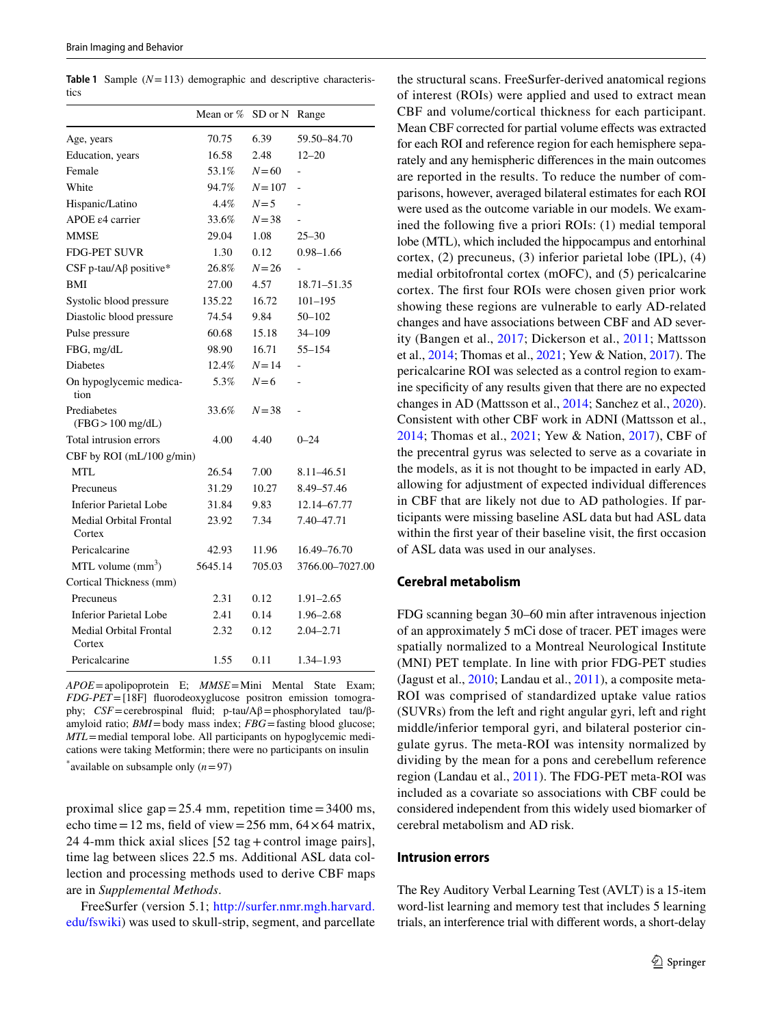<span id="page-2-0"></span>**Table 1** Sample (*N*=113) demographic and descriptive characteristics

|                                    | Mean or $%$ | SD or N   | Range           |
|------------------------------------|-------------|-----------|-----------------|
| Age, years                         | 70.75       | 6.39      | 59.50-84.70     |
| Education, years                   | 16.58       | 2.48      | $12 - 20$       |
| Female                             | 53.1%       | $N = 60$  |                 |
| White                              | 94.7%       | $N = 107$ |                 |
| Hispanic/Latino                    | 4.4%        | $N=5$     |                 |
| APOE $\varepsilon$ 4 carrier       | 33.6%       | $N = 38$  |                 |
| <b>MMSE</b>                        | 29.04       | 1.08      | $25 - 30$       |
| <b>FDG-PET SUVR</b>                | 1.30        | 0.12      | $0.98 - 1.66$   |
| CSF p-tau/Aβ positive*             | 26.8%       | $N = 26$  |                 |
| BMI                                | 27.00       | 4.57      | 18.71-51.35     |
| Systolic blood pressure            | 135.22      | 16.72     | $101 - 195$     |
| Diastolic blood pressure           | 74.54       | 9.84      | $50 - 102$      |
| Pulse pressure                     | 60.68       | 15.18     | 34-109          |
| FBG, mg/dL                         | 98.90       | 16.71     | $55 - 154$      |
| <b>Diabetes</b>                    | 12.4%       | $N = 14$  | ÷,              |
| On hypoglycemic medica-<br>tion    | 5.3%        | $N=6$     |                 |
| Prediabetes<br>$(FBG > 100$ mg/dL) | 33.6%       | $N = 38$  | ÷               |
| Total intrusion errors             | 4.00        | 4.40      | $0 - 24$        |
| CBF by ROI (mL/100 g/min)          |             |           |                 |
| MTL                                | 26.54       | 7.00      | 8.11 - 46.51    |
| Precuneus                          | 31.29       | 10.27     | 8.49-57.46      |
| <b>Inferior Parietal Lobe</b>      | 31.84       | 9.83      | 12.14-67.77     |
| Medial Orbital Frontal<br>Cortex   | 23.92       | 7.34      | 7.40–47.71      |
| Pericalcarine                      | 42.93       | 11.96     | 16.49-76.70     |
| MTL volume $(mm^3)$                | 5645.14     | 705.03    | 3766.00–7027.00 |
| Cortical Thickness (mm)            |             |           |                 |
| Precuneus                          | 2.31        | 0.12      | 1.91–2.65       |
| <b>Inferior Parietal Lobe</b>      | 2.41        | 0.14      | $1.96 - 2.68$   |
| Medial Orbital Frontal<br>Cortex   | 2.32        | 0.12      | $2.04 - 2.71$   |
| Pericalcarine                      | 1.55        | 0.11      | 1.34-1.93       |

*APOE*=apolipoprotein E; *MMSE*=Mini Mental State Exam; *FDG*-*PET*=[18F] fuorodeoxyglucose positron emission tomography; *CSF*=cerebrospinal fuid; p-tau/Aβ=phosphorylated tau/βamyloid ratio; *BMI*=body mass index; *FBG*=fasting blood glucose; *MTL*=medial temporal lobe. All participants on hypoglycemic medications were taking Metformin; there were no participants on insulin \* available on subsample only (*n*=97)

proximal slice  $gap = 25.4$  mm, repetition time  $= 3400$  ms, echo time=12 ms, field of view=256 mm,  $64 \times 64$  matrix, 24 4-mm thick axial slices [52 tag+control image pairs], time lag between slices 22.5 ms. Additional ASL data collection and processing methods used to derive CBF maps are in *Supplemental Methods*.

FreeSurfer (version 5.1; [http://surfer.nmr.mgh.harvard.](http://surfer.nmr.mgh.harvard.edu/fswiki) [edu/fswiki\)](http://surfer.nmr.mgh.harvard.edu/fswiki) was used to skull-strip, segment, and parcellate the structural scans. FreeSurfer-derived anatomical regions of interest (ROIs) were applied and used to extract mean CBF and volume/cortical thickness for each participant. Mean CBF corrected for partial volume effects was extracted for each ROI and reference region for each hemisphere separately and any hemispheric diferences in the main outcomes are reported in the results. To reduce the number of comparisons, however, averaged bilateral estimates for each ROI were used as the outcome variable in our models. We examined the following fve a priori ROIs: (1) medial temporal lobe (MTL), which included the hippocampus and entorhinal cortex, (2) precuneus, (3) inferior parietal lobe (IPL), (4) medial orbitofrontal cortex (mOFC), and (5) pericalcarine cortex. The frst four ROIs were chosen given prior work showing these regions are vulnerable to early AD-related changes and have associations between CBF and AD severity (Bangen et al., [2017;](#page-7-2) Dickerson et al., [2011;](#page-7-16) Mattsson et al., [2014](#page-7-6); Thomas et al., [2021](#page-8-1); Yew & Nation, [2017\)](#page-8-7). The pericalcarine ROI was selected as a control region to examine specifcity of any results given that there are no expected changes in AD (Mattsson et al., [2014;](#page-7-6) Sanchez et al., [2020](#page-8-8)). Consistent with other CBF work in ADNI (Mattsson et al., [2014;](#page-7-6) Thomas et al., [2021;](#page-8-1) Yew & Nation, [2017\)](#page-8-7), CBF of the precentral gyrus was selected to serve as a covariate in the models, as it is not thought to be impacted in early AD, allowing for adjustment of expected individual diferences in CBF that are likely not due to AD pathologies. If participants were missing baseline ASL data but had ASL data within the first year of their baseline visit, the first occasion of ASL data was used in our analyses.

## **Cerebral metabolism**

FDG scanning began 30–60 min after intravenous injection of an approximately 5 mCi dose of tracer. PET images were spatially normalized to a Montreal Neurological Institute (MNI) PET template. In line with prior FDG-PET studies (Jagust et al., [2010;](#page-7-17) Landau et al., [2011\)](#page-7-18), a composite meta-ROI was comprised of standardized uptake value ratios (SUVRs) from the left and right angular gyri, left and right middle/inferior temporal gyri, and bilateral posterior cingulate gyrus. The meta-ROI was intensity normalized by dividing by the mean for a pons and cerebellum reference region (Landau et al., [2011\)](#page-7-18). The FDG-PET meta-ROI was included as a covariate so associations with CBF could be considered independent from this widely used biomarker of cerebral metabolism and AD risk.

#### **Intrusion errors**

The Rey Auditory Verbal Learning Test (AVLT) is a 15-item word-list learning and memory test that includes 5 learning trials, an interference trial with diferent words, a short-delay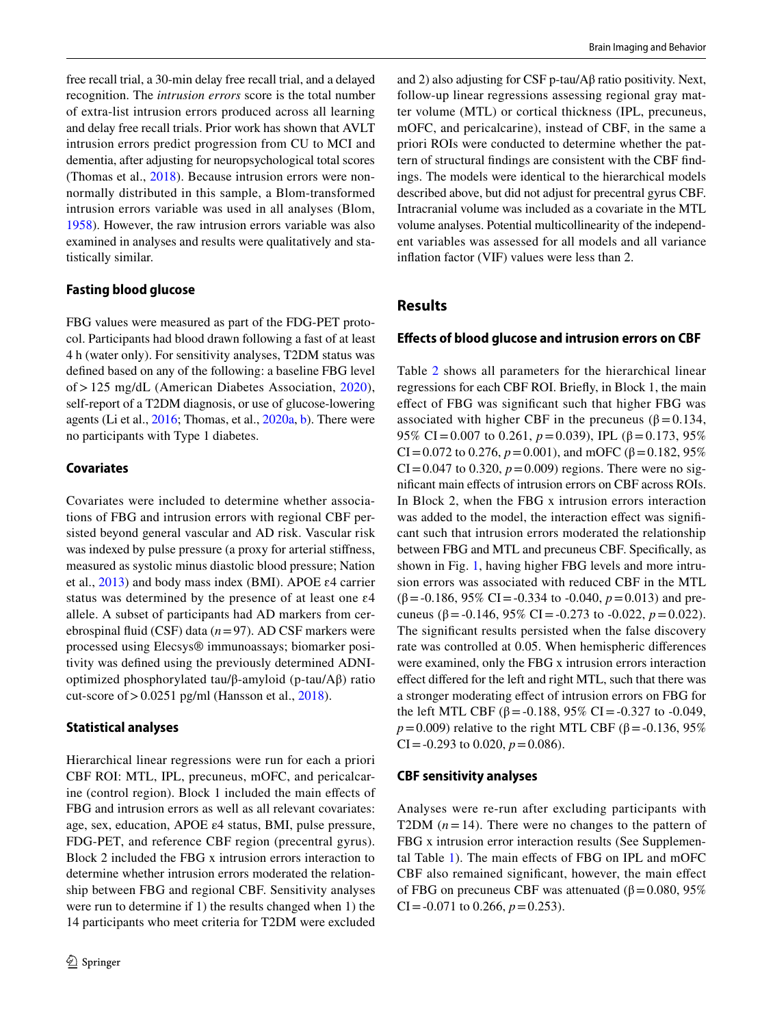free recall trial, a 30-min delay free recall trial, and a delayed recognition. The *intrusion errors* score is the total number of extra-list intrusion errors produced across all learning and delay free recall trials. Prior work has shown that AVLT intrusion errors predict progression from CU to MCI and dementia, after adjusting for neuropsychological total scores (Thomas et al., [2018\)](#page-8-5). Because intrusion errors were nonnormally distributed in this sample, a Blom-transformed intrusion errors variable was used in all analyses (Blom, [1958](#page-7-19)). However, the raw intrusion errors variable was also examined in analyses and results were qualitatively and statistically similar.

# **Fasting blood glucose**

FBG values were measured as part of the FDG-PET protocol. Participants had blood drawn following a fast of at least 4 h (water only). For sensitivity analyses, T2DM status was defned based on any of the following: a baseline FBG level of>125 mg/dL (American Diabetes Association, [2020](#page-6-1)), self-report of a T2DM diagnosis, or use of glucose-lowering agents (Li et al., [2016;](#page-7-20) Thomas, et al., [2020a,](#page-8-3) [b](#page-8-1)). There were no participants with Type 1 diabetes.

# **Covariates**

Covariates were included to determine whether associations of FBG and intrusion errors with regional CBF persisted beyond general vascular and AD risk. Vascular risk was indexed by pulse pressure (a proxy for arterial stifness, measured as systolic minus diastolic blood pressure; Nation et al., [2013](#page-8-9)) and body mass index (BMI). APOE ɛ4 carrier status was determined by the presence of at least one ɛ4 allele. A subset of participants had AD markers from cerebrospinal fuid (CSF) data (*n*=97). AD CSF markers were processed using Elecsys® immunoassays; biomarker positivity was defned using the previously determined ADNIoptimized phosphorylated tau/β-amyloid (p-tau/Aβ) ratio cut-score of  $> 0.0251$  pg/ml (Hansson et al., [2018\)](#page-7-21).

## **Statistical analyses**

Hierarchical linear regressions were run for each a priori CBF ROI: MTL, IPL, precuneus, mOFC, and pericalcarine (control region). Block 1 included the main efects of FBG and intrusion errors as well as all relevant covariates: age, sex, education, APOE ε4 status, BMI, pulse pressure, FDG-PET, and reference CBF region (precentral gyrus). Block 2 included the FBG x intrusion errors interaction to determine whether intrusion errors moderated the relationship between FBG and regional CBF. Sensitivity analyses were run to determine if 1) the results changed when 1) the 14 participants who meet criteria for T2DM were excluded and 2) also adjusting for CSF p-tau/Aβ ratio positivity. Next, follow-up linear regressions assessing regional gray matter volume (MTL) or cortical thickness (IPL, precuneus, mOFC, and pericalcarine), instead of CBF, in the same a priori ROIs were conducted to determine whether the pattern of structural fndings are consistent with the CBF fndings. The models were identical to the hierarchical models described above, but did not adjust for precentral gyrus CBF. Intracranial volume was included as a covariate in the MTL volume analyses. Potential multicollinearity of the independent variables was assessed for all models and all variance infation factor (VIF) values were less than 2.

# **Results**

# **Efects of blood glucose and intrusion errors on CBF**

Table [2](#page-4-0) shows all parameters for the hierarchical linear regressions for each CBF ROI. Briefy, in Block 1, the main efect of FBG was signifcant such that higher FBG was associated with higher CBF in the precuneus ( $\beta$  = 0.134, 95% CI = 0.007 to 0.261,  $p = 0.039$ ), IPL (β = 0.173, 95%) CI=0.072 to 0.276,  $p = 0.001$ ), and mOFC (β=0.182, 95%)  $CI = 0.047$  to 0.320,  $p = 0.009$ ) regions. There were no signifcant main efects of intrusion errors on CBF across ROIs. In Block 2, when the FBG x intrusion errors interaction was added to the model, the interaction effect was significant such that intrusion errors moderated the relationship between FBG and MTL and precuneus CBF. Specifcally, as shown in Fig. [1](#page-4-1), having higher FBG levels and more intrusion errors was associated with reduced CBF in the MTL (β=-0.186, 95% CI=-0.334 to -0.040, *p*=0.013) and precuneus (β = -0.146, 95% CI = -0.273 to -0.022,  $p = 0.022$ ). The signifcant results persisted when the false discovery rate was controlled at 0.05. When hemispheric diferences were examined, only the FBG x intrusion errors interaction efect difered for the left and right MTL, such that there was a stronger moderating efect of intrusion errors on FBG for the left MTL CBF (β = -0.188, 95% CI = -0.327 to -0.049, *p*=0.009) relative to the right MTL CBF (β=-0.136, 95% CI =  $-0.293$  to 0.020,  $p = 0.086$ ).

## **CBF sensitivity analyses**

Analyses were re-run after excluding participants with T2DM  $(n=14)$ . There were no changes to the pattern of FBG x intrusion error interaction results (See Supplemental Table 1). The main efects of FBG on IPL and mOFC CBF also remained signifcant, however, the main efect of FBG on precuneus CBF was attenuated ( $β = 0.080, 95%$ CI =  $-0.071$  to 0.266,  $p = 0.253$ ).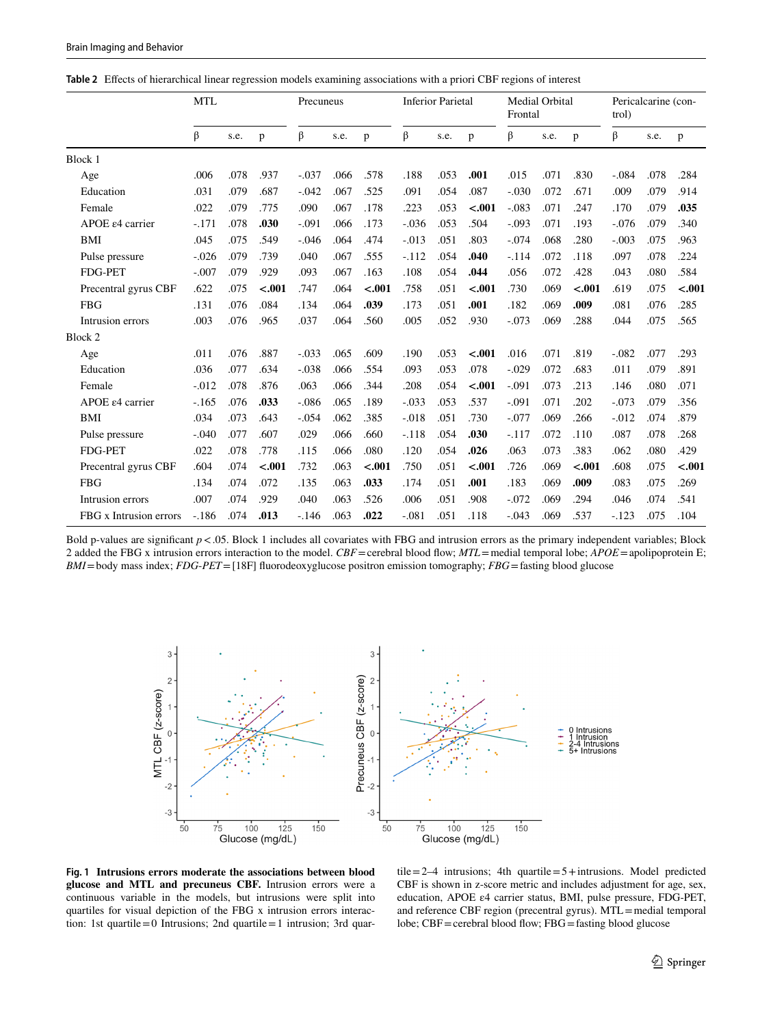<span id="page-4-0"></span>**Table 2** Efects of hierarchical linear regression models examining associations with a priori CBF regions of interest

|                              | <b>MTL</b> |      | Precuneus |         | <b>Inferior Parietal</b> |         | Medial Orbital<br>Frontal |      |         | Pericalcarine (con-<br>trol) |      |         |          |      |         |
|------------------------------|------------|------|-----------|---------|--------------------------|---------|---------------------------|------|---------|------------------------------|------|---------|----------|------|---------|
|                              | β          | s.e. | p         | β       | s.e.                     | p       | β                         | s.e. | p       | β                            | s.e. | p       | β        | s.e. | p       |
| Block 1                      |            |      |           |         |                          |         |                           |      |         |                              |      |         |          |      |         |
| Age                          | .006       | .078 | .937      | $-.037$ | .066                     | .578    | .188                      | .053 | .001    | .015                         | .071 | .830    | $-.084$  | .078 | .284    |
| Education                    | .031       | .079 | .687      | $-.042$ | .067                     | .525    | .091                      | .054 | .087    | $-.030$                      | .072 | .671    | .009     | .079 | .914    |
| Female                       | .022       | .079 | .775      | .090    | .067                     | .178    | .223                      | .053 | $-.001$ | $-.083$                      | .071 | .247    | .170     | .079 | .035    |
| APOE $\varepsilon$ 4 carrier | $-171$     | .078 | .030      | $-.091$ | .066                     | .173    | $-.036$                   | .053 | .504    | $-.093$                      | .071 | .193    | $-.076$  | .079 | .340    |
| BMI                          | .045       | .075 | .549      | $-.046$ | .064                     | .474    | $-.013$                   | .051 | .803    | $-.074$                      | .068 | .280    | $-.003$  | .075 | .963    |
| Pulse pressure               | $-.026$    | .079 | .739      | .040    | .067                     | .555    | $-.112$                   | .054 | .040    | $-.114$                      | .072 | .118    | .097     | .078 | .224    |
| <b>FDG-PET</b>               | $-.007$    | .079 | .929      | .093    | .067                     | .163    | .108                      | .054 | .044    | .056                         | .072 | .428    | .043     | .080 | .584    |
| Precentral gyrus CBF         | .622       | .075 | $-.001$   | .747    | .064                     | $-.001$ | .758                      | .051 | $-.001$ | .730                         | .069 | $-.001$ | .619     | .075 | $-.001$ |
| <b>FBG</b>                   | .131       | .076 | .084      | .134    | .064                     | .039    | .173                      | .051 | .001    | .182                         | .069 | .009    | .081     | .076 | .285    |
| Intrusion errors             | .003       | .076 | .965      | .037    | .064                     | .560    | .005                      | .052 | .930    | $-.073$                      | .069 | .288    | .044     | .075 | .565    |
| Block 2                      |            |      |           |         |                          |         |                           |      |         |                              |      |         |          |      |         |
| Age                          | .011       | .076 | .887      | $-.033$ | .065                     | .609    | .190                      | .053 | $-.001$ | .016                         | .071 | .819    | $-.082$  | .077 | .293    |
| Education                    | .036       | .077 | .634      | $-.038$ | .066                     | .554    | .093                      | .053 | .078    | $-.029$                      | .072 | .683    | .011     | .079 | .891    |
| Female                       | $-0.012$   | .078 | .876      | .063    | .066                     | .344    | .208                      | .054 | $-.001$ | $-.091$                      | .073 | .213    | .146     | .080 | .071    |
| APOE $\varepsilon$ 4 carrier | $-165$     | .076 | .033      | $-.086$ | .065                     | .189    | $-.033$                   | .053 | .537    | $-.091$                      | .071 | .202    | $-.073$  | .079 | .356    |
| BMI                          | .034       | .073 | .643      | $-.054$ | .062                     | .385    | $-.018$                   | .051 | .730    | $-.077$                      | .069 | .266    | $-0.012$ | .074 | .879    |
| Pulse pressure               | $-.040$    | .077 | .607      | .029    | .066                     | .660    | $-.118$                   | .054 | .030    | $-.117$                      | .072 | .110    | .087     | .078 | .268    |
| <b>FDG-PET</b>               | .022       | .078 | .778      | .115    | .066                     | .080    | .120                      | .054 | .026    | .063                         | .073 | .383    | .062     | .080 | .429    |
| Precentral gyrus CBF         | .604       | .074 | $-.001$   | .732    | .063                     | $-.001$ | .750                      | .051 | $-.001$ | .726                         | .069 | $-.001$ | .608     | .075 | $-.001$ |
| <b>FBG</b>                   | .134       | .074 | .072      | .135    | .063                     | .033    | .174                      | .051 | .001    | .183                         | .069 | .009    | .083     | .075 | .269    |
| Intrusion errors             | .007       | .074 | .929      | .040    | .063                     | .526    | .006                      | .051 | .908    | $-.072$                      | .069 | .294    | .046     | .074 | .541    |
| FBG x Intrusion errors       | $-.186$    | .074 | .013      | $-.146$ | .063                     | .022    | $-.081$                   | .051 | .118    | $-.043$                      | .069 | .537    | $-123$   | .075 | .104    |

Bold p-values are significant  $p < 0.05$ . Block 1 includes all covariates with FBG and intrusion errors as the primary independent variables; Block 2 added the FBG x intrusion errors interaction to the model. *CBF*=cerebral blood flow; *MTL*=medial temporal lobe; *APOE*=apolipoprotein E; *BMI*=body mass index; *FDG*-*PET*=[18F] fuorodeoxyglucose positron emission tomography; *FBG*=fasting blood glucose



<span id="page-4-1"></span>**Fig. 1 Intrusions errors moderate the associations between blood glucose and MTL and precuneus CBF.** Intrusion errors were a continuous variable in the models, but intrusions were split into quartiles for visual depiction of the FBG x intrusion errors interaction: 1st quartile=0 Intrusions; 2nd quartile=1 intrusion; 3rd quar-

tile=2–4 intrusions; 4th quartile=5+intrusions. Model predicted CBF is shown in z-score metric and includes adjustment for age, sex, education, APOE ε4 carrier status, BMI, pulse pressure, FDG-PET, and reference CBF region (precentral gyrus). MTL=medial temporal lobe; CBF=cerebral blood flow; FBG=fasting blood glucose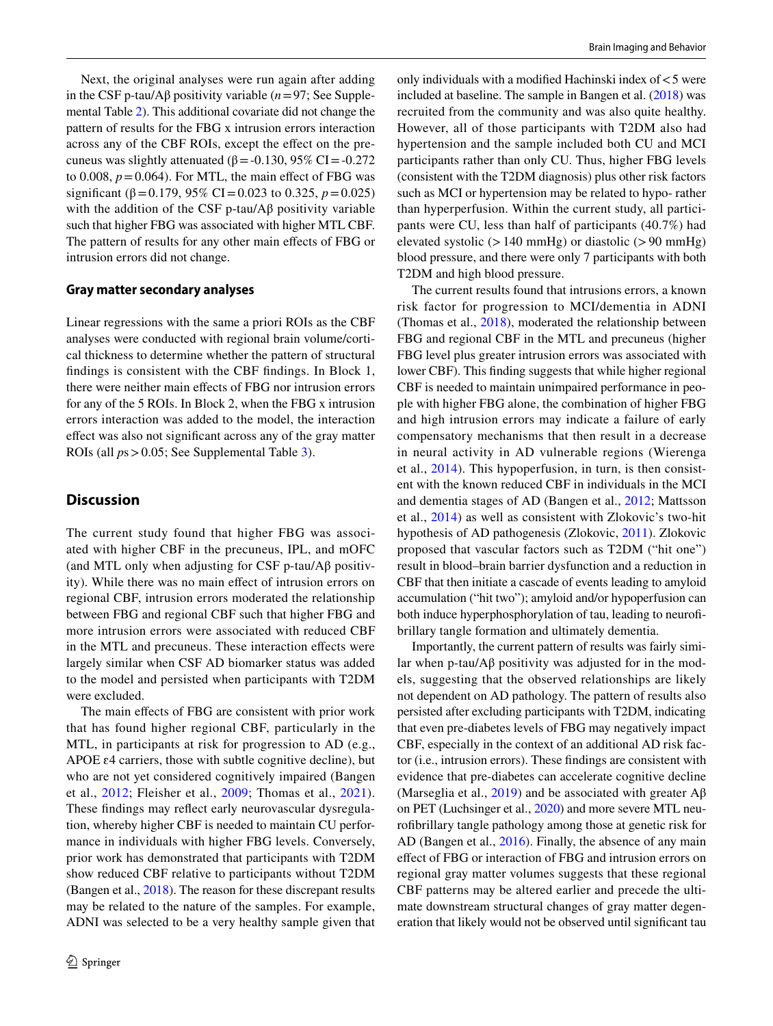Next, the original analyses were run again after adding in the CSF p-tau/Aβ positivity variable (*n*=97; See Supplemental Table 2). This additional covariate did not change the pattern of results for the FBG x intrusion errors interaction across any of the CBF ROIs, except the efect on the precuneus was slightly attenuated ( $β = -0.130$ , 95% CI =  $-0.272$ ) to 0.008,  $p = 0.064$ ). For MTL, the main effect of FBG was significant ( $\beta$ =0.179, 95% CI=0.023 to 0.325,  $p$ =0.025) with the addition of the CSF p-tau/ $\mathbf{A}\beta$  positivity variable such that higher FBG was associated with higher MTL CBF. The pattern of results for any other main efects of FBG or intrusion errors did not change.

#### **Gray matter secondary analyses**

Linear regressions with the same a priori ROIs as the CBF analyses were conducted with regional brain volume/cortical thickness to determine whether the pattern of structural fndings is consistent with the CBF fndings. In Block 1, there were neither main efects of FBG nor intrusion errors for any of the 5 ROIs. In Block 2, when the FBG x intrusion errors interaction was added to the model, the interaction efect was also not signifcant across any of the gray matter ROIs (all *p*s>0.05; See Supplemental Table 3).

# **Discussion**

The current study found that higher FBG was associated with higher CBF in the precuneus, IPL, and mOFC (and MTL only when adjusting for CSF p-tau/A $\beta$  positivity). While there was no main effect of intrusion errors on regional CBF, intrusion errors moderated the relationship between FBG and regional CBF such that higher FBG and more intrusion errors were associated with reduced CBF in the MTL and precuneus. These interaction efects were largely similar when CSF AD biomarker status was added to the model and persisted when participants with T2DM were excluded.

The main efects of FBG are consistent with prior work that has found higher regional CBF, particularly in the MTL, in participants at risk for progression to AD (e.g., APOE  $\varepsilon$ 4 carriers, those with subtle cognitive decline), but who are not yet considered cognitively impaired (Bangen et al., [2012](#page-7-4); Fleisher et al., [2009](#page-7-5); Thomas et al., [2021](#page-8-1)). These fndings may refect early neurovascular dysregulation, whereby higher CBF is needed to maintain CU performance in individuals with higher FBG levels. Conversely, prior work has demonstrated that participants with T2DM show reduced CBF relative to participants without T2DM (Bangen et al., [2018](#page-7-9)). The reason for these discrepant results may be related to the nature of the samples. For example, ADNI was selected to be a very healthy sample given that only individuals with a modified Hachinski index of  $<$  5 were included at baseline. The sample in Bangen et al. ([2018\)](#page-7-9) was recruited from the community and was also quite healthy. However, all of those participants with T2DM also had hypertension and the sample included both CU and MCI participants rather than only CU. Thus, higher FBG levels (consistent with the T2DM diagnosis) plus other risk factors such as MCI or hypertension may be related to hypo- rather than hyperperfusion. Within the current study, all participants were CU, less than half of participants (40.7%) had elevated systolic ( $>140$  mmHg) or diastolic ( $>90$  mmHg) blood pressure, and there were only 7 participants with both T2DM and high blood pressure.

The current results found that intrusions errors, a known risk factor for progression to MCI/dementia in ADNI (Thomas et al., [2018\)](#page-8-5), moderated the relationship between FBG and regional CBF in the MTL and precuneus (higher FBG level plus greater intrusion errors was associated with lower CBF). This fnding suggests that while higher regional CBF is needed to maintain unimpaired performance in people with higher FBG alone, the combination of higher FBG and high intrusion errors may indicate a failure of early compensatory mechanisms that then result in a decrease in neural activity in AD vulnerable regions (Wierenga et al., [2014\)](#page-8-2). This hypoperfusion, in turn, is then consistent with the known reduced CBF in individuals in the MCI and dementia stages of AD (Bangen et al., [2012;](#page-7-4) Mattsson et al., [2014\)](#page-7-6) as well as consistent with Zlokovic's two-hit hypothesis of AD pathogenesis (Zlokovic, [2011\)](#page-8-0). Zlokovic proposed that vascular factors such as T2DM ("hit one") result in blood–brain barrier dysfunction and a reduction in CBF that then initiate a cascade of events leading to amyloid accumulation ("hit two"); amyloid and/or hypoperfusion can both induce hyperphosphorylation of tau, leading to neurofbrillary tangle formation and ultimately dementia.

Importantly, the current pattern of results was fairly similar when p-tau/Aβ positivity was adjusted for in the models, suggesting that the observed relationships are likely not dependent on AD pathology. The pattern of results also persisted after excluding participants with T2DM, indicating that even pre-diabetes levels of FBG may negatively impact CBF, especially in the context of an additional AD risk factor (i.e., intrusion errors). These fndings are consistent with evidence that pre-diabetes can accelerate cognitive decline (Marseglia et al., [2019\)](#page-7-22) and be associated with greater  $A\beta$ on PET (Luchsinger et al., [2020\)](#page-7-23) and more severe MTL neurofbrillary tangle pathology among those at genetic risk for AD (Bangen et al., [2016\)](#page-7-24). Finally, the absence of any main efect of FBG or interaction of FBG and intrusion errors on regional gray matter volumes suggests that these regional CBF patterns may be altered earlier and precede the ultimate downstream structural changes of gray matter degeneration that likely would not be observed until signifcant tau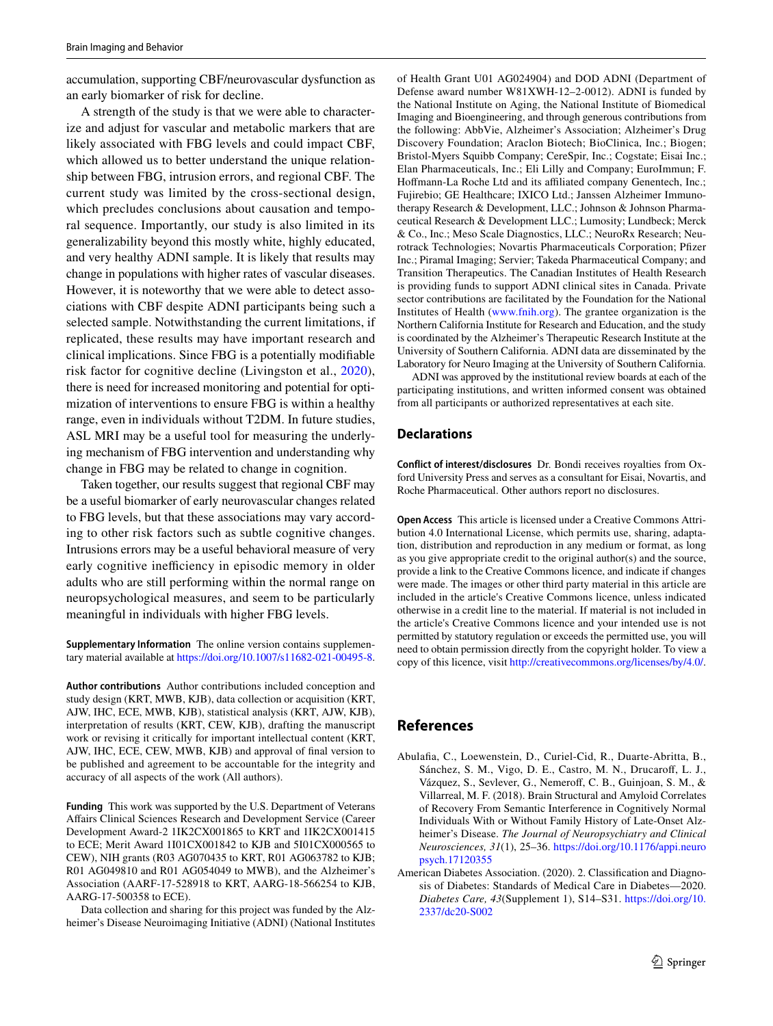accumulation, supporting CBF/neurovascular dysfunction as an early biomarker of risk for decline.

A strength of the study is that we were able to characterize and adjust for vascular and metabolic markers that are likely associated with FBG levels and could impact CBF, which allowed us to better understand the unique relationship between FBG, intrusion errors, and regional CBF. The current study was limited by the cross-sectional design, which precludes conclusions about causation and temporal sequence. Importantly, our study is also limited in its generalizability beyond this mostly white, highly educated, and very healthy ADNI sample. It is likely that results may change in populations with higher rates of vascular diseases. However, it is noteworthy that we were able to detect associations with CBF despite ADNI participants being such a selected sample. Notwithstanding the current limitations, if replicated, these results may have important research and clinical implications. Since FBG is a potentially modifable risk factor for cognitive decline (Livingston et al., [2020](#page-7-7)), there is need for increased monitoring and potential for optimization of interventions to ensure FBG is within a healthy range, even in individuals without T2DM. In future studies, ASL MRI may be a useful tool for measuring the underlying mechanism of FBG intervention and understanding why change in FBG may be related to change in cognition.

Taken together, our results suggest that regional CBF may be a useful biomarker of early neurovascular changes related to FBG levels, but that these associations may vary according to other risk factors such as subtle cognitive changes. Intrusions errors may be a useful behavioral measure of very early cognitive inefficiency in episodic memory in older adults who are still performing within the normal range on neuropsychological measures, and seem to be particularly meaningful in individuals with higher FBG levels.

**Supplementary Information** The online version contains supplementary material available at<https://doi.org/10.1007/s11682-021-00495-8>.

**Author contributions** Author contributions included conception and study design (KRT, MWB, KJB), data collection or acquisition (KRT, AJW, IHC, ECE, MWB, KJB), statistical analysis (KRT, AJW, KJB), interpretation of results (KRT, CEW, KJB), drafting the manuscript work or revising it critically for important intellectual content (KRT, AJW, IHC, ECE, CEW, MWB, KJB) and approval of fnal version to be published and agreement to be accountable for the integrity and accuracy of all aspects of the work (All authors).

**Funding** This work was supported by the U.S. Department of Veterans Afairs Clinical Sciences Research and Development Service (Career Development Award-2 1IK2CX001865 to KRT and 1IK2CX001415 to ECE; Merit Award 1I01CX001842 to KJB and 5I01CX000565 to CEW), NIH grants (R03 AG070435 to KRT, R01 AG063782 to KJB; R01 AG049810 and R01 AG054049 to MWB), and the Alzheimer's Association (AARF-17-528918 to KRT, AARG-18-566254 to KJB, AARG-17-500358 to ECE).

Data collection and sharing for this project was funded by the Alzheimer's Disease Neuroimaging Initiative (ADNI) (National Institutes of Health Grant U01 AG024904) and DOD ADNI (Department of Defense award number W81XWH-12–2-0012). ADNI is funded by the National Institute on Aging, the National Institute of Biomedical Imaging and Bioengineering, and through generous contributions from the following: AbbVie, Alzheimer's Association; Alzheimer's Drug Discovery Foundation; Araclon Biotech; BioClinica, Inc.; Biogen; Bristol-Myers Squibb Company; CereSpir, Inc.; Cogstate; Eisai Inc.; Elan Pharmaceuticals, Inc.; Eli Lilly and Company; EuroImmun; F. Hoffmann-La Roche Ltd and its affiliated company Genentech, Inc.; Fujirebio; GE Healthcare; IXICO Ltd.; Janssen Alzheimer Immunotherapy Research & Development, LLC.; Johnson & Johnson Pharmaceutical Research & Development LLC.; Lumosity; Lundbeck; Merck & Co., Inc.; Meso Scale Diagnostics, LLC.; NeuroRx Research; Neurotrack Technologies; Novartis Pharmaceuticals Corporation; Pfizer Inc.; Piramal Imaging; Servier; Takeda Pharmaceutical Company; and Transition Therapeutics. The Canadian Institutes of Health Research is providing funds to support ADNI clinical sites in Canada. Private sector contributions are facilitated by the Foundation for the National Institutes of Health [\(www.fnih.org\)](http://www.fnih.org). The grantee organization is the Northern California Institute for Research and Education, and the study is coordinated by the Alzheimer's Therapeutic Research Institute at the University of Southern California. ADNI data are disseminated by the Laboratory for Neuro Imaging at the University of Southern California.

ADNI was approved by the institutional review boards at each of the participating institutions, and written informed consent was obtained from all participants or authorized representatives at each site.

## **Declarations**

**Conflict of interest/disclosures** Dr. Bondi receives royalties from Oxford University Press and serves as a consultant for Eisai, Novartis, and Roche Pharmaceutical. Other authors report no disclosures.

**Open Access** This article is licensed under a Creative Commons Attribution 4.0 International License, which permits use, sharing, adaptation, distribution and reproduction in any medium or format, as long as you give appropriate credit to the original author(s) and the source, provide a link to the Creative Commons licence, and indicate if changes were made. The images or other third party material in this article are included in the article's Creative Commons licence, unless indicated otherwise in a credit line to the material. If material is not included in the article's Creative Commons licence and your intended use is not permitted by statutory regulation or exceeds the permitted use, you will need to obtain permission directly from the copyright holder. To view a copy of this licence, visit<http://creativecommons.org/licenses/by/4.0/>.

# **References**

- <span id="page-6-0"></span>Abulafa, C., Loewenstein, D., Curiel-Cid, R., Duarte-Abritta, B., Sánchez, S. M., Vigo, D. E., Castro, M. N., Drucarof, L. J., Vázquez, S., Sevlever, G., Nemerof, C. B., Guinjoan, S. M., & Villarreal, M. F. (2018). Brain Structural and Amyloid Correlates of Recovery From Semantic Interference in Cognitively Normal Individuals With or Without Family History of Late-Onset Alzheimer's Disease. *The Journal of Neuropsychiatry and Clinical Neurosciences, 31*(1), 25–36. [https://doi.org/10.1176/appi.neuro](https://doi.org/10.1176/appi.neuropsych.17120355) [psych.17120355](https://doi.org/10.1176/appi.neuropsych.17120355)
- <span id="page-6-1"></span>American Diabetes Association. (2020). 2. Classifcation and Diagnosis of Diabetes: Standards of Medical Care in Diabetes—2020. *Diabetes Care, 43*(Supplement 1), S14–S31. [https://doi.org/10.](https://doi.org/10.2337/dc20-S002) [2337/dc20-S002](https://doi.org/10.2337/dc20-S002)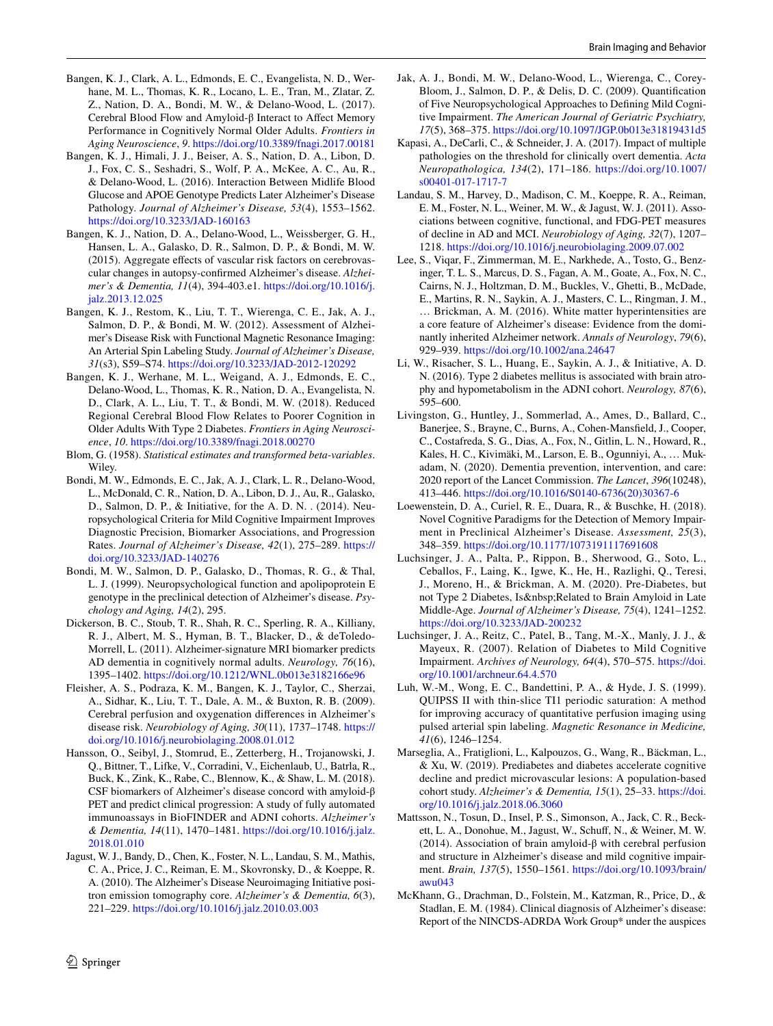- <span id="page-7-2"></span>Bangen, K. J., Clark, A. L., Edmonds, E. C., Evangelista, N. D., Werhane, M. L., Thomas, K. R., Locano, L. E., Tran, M., Zlatar, Z. Z., Nation, D. A., Bondi, M. W., & Delano-Wood, L. (2017). Cerebral Blood Flow and Amyloid-β Interact to Afect Memory Performance in Cognitively Normal Older Adults. *Frontiers in Aging Neuroscience*, *9*. <https://doi.org/10.3389/fnagi.2017.00181>
- <span id="page-7-24"></span>Bangen, K. J., Himali, J. J., Beiser, A. S., Nation, D. A., Libon, D. J., Fox, C. S., Seshadri, S., Wolf, P. A., McKee, A. C., Au, R., & Delano-Wood, L. (2016). Interaction Between Midlife Blood Glucose and APOE Genotype Predicts Later Alzheimer's Disease Pathology. *Journal of Alzheimer's Disease, 53*(4), 1553–1562. <https://doi.org/10.3233/JAD-160163>
- <span id="page-7-1"></span>Bangen, K. J., Nation, D. A., Delano-Wood, L., Weissberger, G. H., Hansen, L. A., Galasko, D. R., Salmon, D. P., & Bondi, M. W. (2015). Aggregate effects of vascular risk factors on cerebrovascular changes in autopsy-confrmed Alzheimer's disease. *Alzheimer's & Dementia, 11*(4), 394-403.e1. [https://doi.org/10.1016/j.](https://doi.org/10.1016/j.jalz.2013.12.025) [jalz.2013.12.025](https://doi.org/10.1016/j.jalz.2013.12.025)
- <span id="page-7-4"></span>Bangen, K. J., Restom, K., Liu, T. T., Wierenga, C. E., Jak, A. J., Salmon, D. P., & Bondi, M. W. (2012). Assessment of Alzheimer's Disease Risk with Functional Magnetic Resonance Imaging: An Arterial Spin Labeling Study. *Journal of Alzheimer's Disease, 31*(s3), S59–S74.<https://doi.org/10.3233/JAD-2012-120292>
- <span id="page-7-9"></span>Bangen, K. J., Werhane, M. L., Weigand, A. J., Edmonds, E. C., Delano-Wood, L., Thomas, K. R., Nation, D. A., Evangelista, N. D., Clark, A. L., Liu, T. T., & Bondi, M. W. (2018). Reduced Regional Cerebral Blood Flow Relates to Poorer Cognition in Older Adults With Type 2 Diabetes. *Frontiers in Aging Neuroscience*, *10*. <https://doi.org/10.3389/fnagi.2018.00270>
- <span id="page-7-19"></span>Blom, G. (1958). *Statistical estimates and transformed beta-variables*. Wiley.
- <span id="page-7-13"></span>Bondi, M. W., Edmonds, E. C., Jak, A. J., Clark, L. R., Delano-Wood, L., McDonald, C. R., Nation, D. A., Libon, D. J., Au, R., Galasko, D., Salmon, D. P., & Initiative, for the A. D. N. . (2014). Neuropsychological Criteria for Mild Cognitive Impairment Improves Diagnostic Precision, Biomarker Associations, and Progression Rates. *Journal of Alzheimer's Disease, 42*(1), 275–289. [https://](https://doi.org/10.3233/JAD-140276) [doi.org/10.3233/JAD-140276](https://doi.org/10.3233/JAD-140276)
- <span id="page-7-11"></span>Bondi, M. W., Salmon, D. P., Galasko, D., Thomas, R. G., & Thal, L. J. (1999). Neuropsychological function and apolipoprotein E genotype in the preclinical detection of Alzheimer's disease. *Psychology and Aging, 14*(2), 295.
- <span id="page-7-16"></span>Dickerson, B. C., Stoub, T. R., Shah, R. C., Sperling, R. A., Killiany, R. J., Albert, M. S., Hyman, B. T., Blacker, D., & deToledo-Morrell, L. (2011). Alzheimer-signature MRI biomarker predicts AD dementia in cognitively normal adults. *Neurology, 76*(16), 1395–1402. <https://doi.org/10.1212/WNL.0b013e3182166e96>
- <span id="page-7-5"></span>Fleisher, A. S., Podraza, K. M., Bangen, K. J., Taylor, C., Sherzai, A., Sidhar, K., Liu, T. T., Dale, A. M., & Buxton, R. B. (2009). Cerebral perfusion and oxygenation diferences in Alzheimer's disease risk. *Neurobiology of Aging, 30*(11), 1737–1748. [https://](https://doi.org/10.1016/j.neurobiolaging.2008.01.012) [doi.org/10.1016/j.neurobiolaging.2008.01.012](https://doi.org/10.1016/j.neurobiolaging.2008.01.012)
- <span id="page-7-21"></span>Hansson, O., Seibyl, J., Stomrud, E., Zetterberg, H., Trojanowski, J. Q., Bittner, T., Lifke, V., Corradini, V., Eichenlaub, U., Batrla, R., Buck, K., Zink, K., Rabe, C., Blennow, K., & Shaw, L. M. (2018). CSF biomarkers of Alzheimer's disease concord with amyloid-β PET and predict clinical progression: A study of fully automated immunoassays in BioFINDER and ADNI cohorts. *Alzheimer's & Dementia, 14*(11), 1470–1481. [https://doi.org/10.1016/j.jalz.](https://doi.org/10.1016/j.jalz.2018.01.010) [2018.01.010](https://doi.org/10.1016/j.jalz.2018.01.010)
- <span id="page-7-17"></span>Jagust, W. J., Bandy, D., Chen, K., Foster, N. L., Landau, S. M., Mathis, C. A., Price, J. C., Reiman, E. M., Skovronsky, D., & Koeppe, R. A. (2010). The Alzheimer's Disease Neuroimaging Initiative positron emission tomography core. *Alzheimer's & Dementia, 6*(3), 221–229.<https://doi.org/10.1016/j.jalz.2010.03.003>
- <span id="page-7-14"></span>Jak, A. J., Bondi, M. W., Delano-Wood, L., Wierenga, C., Corey-Bloom, J., Salmon, D. P., & Delis, D. C. (2009). Quantifcation of Five Neuropsychological Approaches to Defning Mild Cognitive Impairment. *The American Journal of Geriatric Psychiatry, 17*(5), 368–375.<https://doi.org/10.1097/JGP.0b013e31819431d5>
- <span id="page-7-0"></span>Kapasi, A., DeCarli, C., & Schneider, J. A. (2017). Impact of multiple pathologies on the threshold for clinically overt dementia. *Acta Neuropathologica, 134*(2), 171–186. [https://doi.org/10.1007/](https://doi.org/10.1007/s00401-017-1717-7) [s00401-017-1717-7](https://doi.org/10.1007/s00401-017-1717-7)
- <span id="page-7-18"></span>Landau, S. M., Harvey, D., Madison, C. M., Koeppe, R. A., Reiman, E. M., Foster, N. L., Weiner, M. W., & Jagust, W. J. (2011). Associations between cognitive, functional, and FDG-PET measures of decline in AD and MCI. *Neurobiology of Aging, 32*(7), 1207– 1218. <https://doi.org/10.1016/j.neurobiolaging.2009.07.002>
- <span id="page-7-3"></span>Lee, S., Viqar, F., Zimmerman, M. E., Narkhede, A., Tosto, G., Benzinger, T. L. S., Marcus, D. S., Fagan, A. M., Goate, A., Fox, N. C., Cairns, N. J., Holtzman, D. M., Buckles, V., Ghetti, B., McDade, E., Martins, R. N., Saykin, A. J., Masters, C. L., Ringman, J. M., … Brickman, A. M. (2016). White matter hyperintensities are a core feature of Alzheimer's disease: Evidence from the dominantly inherited Alzheimer network. *Annals of Neurology*, *79*(6), 929–939.<https://doi.org/10.1002/ana.24647>
- <span id="page-7-20"></span>Li, W., Risacher, S. L., Huang, E., Saykin, A. J., & Initiative, A. D. N. (2016). Type 2 diabetes mellitus is associated with brain atrophy and hypometabolism in the ADNI cohort. *Neurology, 87*(6), 595–600.
- <span id="page-7-7"></span>Livingston, G., Huntley, J., Sommerlad, A., Ames, D., Ballard, C., Banerjee, S., Brayne, C., Burns, A., Cohen-Mansfeld, J., Cooper, C., Costafreda, S. G., Dias, A., Fox, N., Gitlin, L. N., Howard, R., Kales, H. C., Kivimäki, M., Larson, E. B., Ogunniyi, A., … Mukadam, N. (2020). Dementia prevention, intervention, and care: 2020 report of the Lancet Commission. *The Lancet*, *396*(10248), 413–446. [https://doi.org/10.1016/S0140-6736\(20\)30367-6](https://doi.org/10.1016/S0140-6736(20)30367-6)
- <span id="page-7-10"></span>Loewenstein, D. A., Curiel, R. E., Duara, R., & Buschke, H. (2018). Novel Cognitive Paradigms for the Detection of Memory Impairment in Preclinical Alzheimer's Disease. *Assessment, 25*(3), 348–359.<https://doi.org/10.1177/1073191117691608>
- <span id="page-7-23"></span>Luchsinger, J. A., Palta, P., Rippon, B., Sherwood, G., Soto, L., Ceballos, F., Laing, K., Igwe, K., He, H., Razlighi, Q., Teresi, J., Moreno, H., & Brickman, A. M. (2020). Pre-Diabetes, but not Type 2 Diabetes, Is Related to Brain Amyloid in Late Middle-Age. *Journal of Alzheimer's Disease, 75*(4), 1241–1252. <https://doi.org/10.3233/JAD-200232>
- <span id="page-7-8"></span>Luchsinger, J. A., Reitz, C., Patel, B., Tang, M.-X., Manly, J. J., & Mayeux, R. (2007). Relation of Diabetes to Mild Cognitive Impairment. *Archives of Neurology, 64*(4), 570–575. [https://doi.](https://doi.org/10.1001/archneur.64.4.570) [org/10.1001/archneur.64.4.570](https://doi.org/10.1001/archneur.64.4.570)
- <span id="page-7-15"></span>Luh, W.-M., Wong, E. C., Bandettini, P. A., & Hyde, J. S. (1999). QUIPSS II with thin-slice TI1 periodic saturation: A method for improving accuracy of quantitative perfusion imaging using pulsed arterial spin labeling. *Magnetic Resonance in Medicine, 41*(6), 1246–1254.
- <span id="page-7-22"></span>Marseglia, A., Fratiglioni, L., Kalpouzos, G., Wang, R., Bäckman, L., & Xu, W. (2019). Prediabetes and diabetes accelerate cognitive decline and predict microvascular lesions: A population-based cohort study. *Alzheimer's & Dementia, 15*(1), 25–33. [https://doi.](https://doi.org/10.1016/j.jalz.2018.06.3060) [org/10.1016/j.jalz.2018.06.3060](https://doi.org/10.1016/j.jalz.2018.06.3060)
- <span id="page-7-6"></span>Mattsson, N., Tosun, D., Insel, P. S., Simonson, A., Jack, C. R., Beckett, L. A., Donohue, M., Jagust, W., Schuf, N., & Weiner, M. W. (2014). Association of brain amyloid-β with cerebral perfusion and structure in Alzheimer's disease and mild cognitive impairment. *Brain, 137*(5), 1550–1561. [https://doi.org/10.1093/brain/](https://doi.org/10.1093/brain/awu043) [awu043](https://doi.org/10.1093/brain/awu043)
- <span id="page-7-12"></span>McKhann, G., Drachman, D., Folstein, M., Katzman, R., Price, D., & Stadlan, E. M. (1984). Clinical diagnosis of Alzheimer's disease: Report of the NINCDS-ADRDA Work Group\* under the auspices